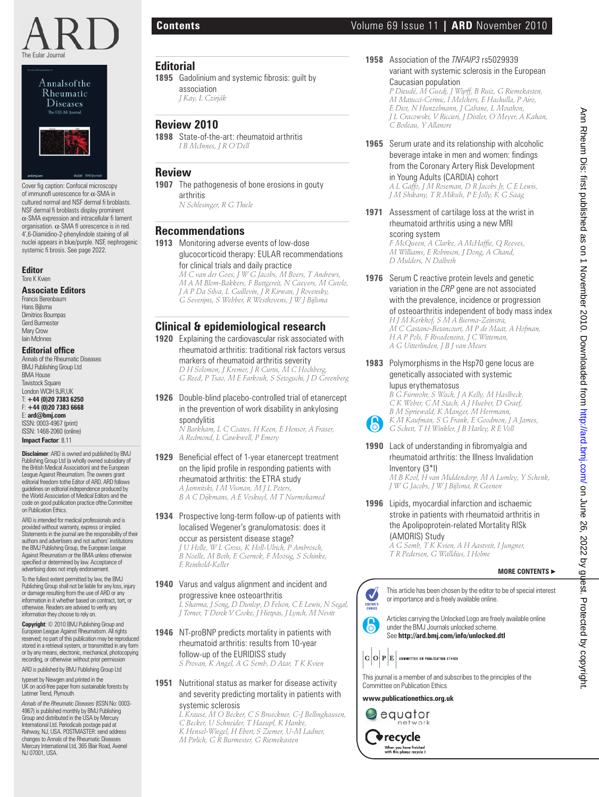





Cover fig caption: Confocal microscopy of immunofl uorescence for α-SMA in cultured normal and NSF dermal fi broblasts. NSF dermal fi broblasts display prominent α-SMA expression and intracellular fi lament organisation. α-SMA fl uorescence is in red. 4',6-Diamidino-2-phenylindole staining of all nuclei appears in blue/purple. NSF, nephrogenic systemic fi brosis. See page 2022.

#### **Editor** Tore K Kvien

### **Associate Editors**

Francis Berenbaum Hans Bijlsma Dimitrios Boumpas Gerd Burmester Mary Crow Iain McInnes

## **Editorial office**

Annals of the Rheumatic Diseases BMJ Publishing Group Ltd BMA House **Tavistock Square** London WCIH 9JR,UK T: **+44 (0)20 7383 6250** F: **+44 (0)20 7383 6668** E: **ard@bmj.com** ISSN: 0003-4967 (print)

ISSN: 1468-2060 (online) **Impact Factor**: 8.11

**Disclaimer**: ARD is owned and published by BMJ Publishing Group Ltd (a wholly owned subsidiary of the British Medical Association) and the European League Against Rheumatism. The owners grant editorial freedom tothe Editor of ARD. ARD follows guidelines on editorial independence produced by the World Association of Medical Editors and the code on good publication practice ofthe Committee on Publication Ethics.

ARD is intended for medical professionals and is provided without warranty, express or implied. Statements in the journal are the responsibility of their authors and advertisers and not authors' institutions the BMJ Publishing Group, the European League Against Rheumatism or the BMA unless otherwise specified or determined by law. Acceptance of<br>advertising does not imply endorsement.

To the fullest extent permitted by law, the BMJ Publishing Group shall not be liable for any loss, injury or damage resulting from the use of ARD or any information in it whether based on contract, tort, or otherwise. Readers are advised to verify any information they choose to rely on.

**Copyright**: © 2010 BMJ Publishing Group and European League Against Rheumatism. All rights reserved; no part of this publication may be reproduced stored in a retrieval system, or transmitted in any form or by any means, electronic, mechanical, photocopying recording, or otherwise without prior permission

ARD is published by BMJ Publishing Group Ltd

typeset by Newgen and printed in the UK on acid-free paper from sustainable forests by Latimer Trend, Plymouth

*Annals of the Rheumatic Diseases* (ISSN No: 0003- 4967) is published monthly by BMJ Publishing Group and distributed in the USA by Mercury International Ltd. Periodicals postage paid at Rahway, NJ, USA. POSTMASTER: send address changes to Annals of the Rheumatic Diseases Mercury International Ltd, 365 Blair Road, Avenel NJ 07001, USA.

association  *J Kay, L Czirják*

**Review 2010**

arthritis

**Recommendations**

spondylitis

*E Reinhold-Keller*

systemic sclerosis

 *N Schlesinger, R G Thiele*

1895 Gadolinium and systemic fibrosis: guilt by

**1898** State-of-the-art: rheumatoid arthritis  *I B McInnes, J R O'Dell*

**1907** The pathogenesis of bone erosions in gouty

**1913** Monitoring adverse events of low-dose

for clinical trials and daily practice

**Clinical & epidemiological research 1920** Explaining the cardiovascular risk associated with rheumatoid arthritis: traditional risk factors versus

markers of rheumatoid arthritis severity  *D H Solomon, J Kremer, J R Curtis, M C Hochberg,* 

**1926** Double-blind placebo-controlled trial of etanercept in the prevention of work disability in ankylosing

 *N Barkham, L C Coates, H Keen, E Hensor, A Fraser,* 

**1929** Beneficial effect of 1-year etanercept treatment on the lipid profile in responding patients with rheumatoid arthritis: the ETRA study  *A Jamnitski, I M Visman, M J L Peters, B A C Dijkmans, A E Voskuyl, M T Nurmohamed* **1934** Prospective long-term follow-up of patients with localised Wegener's granulomatosis: does it

*A Redmond, L Cawkwell, P Emery*

occur as persistent disease stage?  *J U Holle, W L Gross, K Holl-Ulrich, P Ambrosch, B Noelle, M Both, E Csernok, F Moosig, S Schinke,* 

**1940** Varus and valgus alignment and incident and progressive knee osteoarthritis

**1946** NT-proBNP predicts mortality in patients with rheumatoid arthritis: results from 10-year follow-up of the EURIDISS study

> *C Becker, U Schneider, T Haeupl, K Hanke, K Hensel-Wiegel, H Ebert, S Ziemer, U-M Ladner, M Pirlich, G R Burmester, G Riemekasten*

 *S Provan, K Angel, A G Semb, D Atar, T K Kvien* **1951** Nutritional status as marker for disease activity and severity predicting mortality in patients with

 *L Krause, M O Becker, C S Brueckner, C-J Bellinghausen,* 

 *L Sharma, J Song, D Dunlop, D Felson, C E Lewis, N Segal, J Torner, T Derek V Cooke, J Hietpas, J Lynch, M Nevitt*

*G Reed, P Tsao, M E Farkouh, S Setoguchi, J D Greenberg*

glucocorticoid therapy: EULAR recommendations

 *M C van der Goes, J W G Jacobs, M Boers, T Andrews, M A M Blom-Bakkers, F Buttgereit, N Caeyers, M Cutolo, J A P Da Silva, L Guillevin, J R Kirwan, J Rovensky, G Severijns, S Webber, R Westhovens, J W J Bijlsma*

**Editorial**

**Review**

# **Contents** Volume 69 Issue 11 **| ARD** November 2010

**1958** Association of the *TNFAIP3* rs5029939 variant with systemic sclerosis in the European Caucasian population

 *P Dieudé, M Guedj, J Wipff, B Ruiz, G Riemekasten, M Matucci-Cerinic, I Melchers, E Hachulla, P Airo, E Diot, N Hunzelmann, J Cabane, L Mouthon, J L Cracowski, V Riccieri, J Distler, O Meyer, A Kahan, C Boileau, Y Allanore*

## **1965** Serum urate and its relationship with alcoholic beverage intake in men and women: findings from the Coronary Artery Risk Development in Young Adults (CARDIA) cohort

 *A L Gaffo, J M Roseman, D R Jacobs Jr, C E Lewis, J M Shikany, T R Mikuls, P E Jolly, K G Saag*

**1971** Assessment of cartilage loss at the wrist in rheumatoid arthritis using a new MRI scoring system

 $F$  *McQueen, A Clarke, A McHaffie, Q Reeves, M Williams, E Robinson, J Dong, A Chand, D Mulders, N Dalbeth*

**1976** Serum C reactive protein levels and genetic variation in the *CRP* gene are not associated with the prevalence, incidence or progression

## of osteoarthritis independent of body mass index

 *H J M Kerkhof, S M A Bierma-Zeinstra, M C Castano-Betancourt, M P de Maat, A Hofman, H A P Pols, F Rivadeneira, J C Witteman, A G Uitterlinden, J B J van Meurs*

**1983** Polymorphisms in the Hsp70 gene locus are genetically associated with systemic lupus erythematosus

 *B G Fürnrohr, S Wach, J A Kelly, M Haslbeck, C K Weber, C M Stach, A J Hueber, D Graef, B M Spriewald, K Manger, M Herrmann, K M Kaufman, S G Frank, E Goodmon, J A James, G Schett, T H Winkler, J B Harley, R E Voll*

- **1990** Lack of understanding in fibromyalgia and rheumatoid arthritis: the Illness Invalidation Inventory (3\*I)  *M B Kool, H van Middendorp, M A Lumley, Y Schenk, J W G Jacobs, J W J Bijlsma, R Geenen*
- **1996** Lipids, myocardial infarction and ischaemic stroke in patients with rheumatoid arthritis in the Apolipoprotein-related Mortality RISk (AMORIS) Study

 *A G Semb, T K Kvien, A H Aastveit, I Jungner, T R Pedersen, G Walldius, I Holme*

## **MORE CONTENTS** ▶

This article has been chosen by the editor to be of special interest or importance and is freely available online.

Articles carrying the Unlocked Logo are freely available online under the BMJ Journals unlocked scheme. See **http://ard.bmj.com/info/unlocked.dtl**

This journal is a member of and subscribes to the principles of the Committee on Publication Ethics

**www.publicationethics.org.uk**